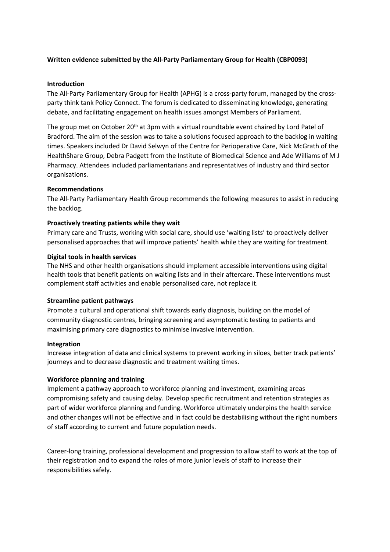# **Written evidence submitted by the All-Party Parliamentary Group for Health (CBP0093)**

### **Introduction**

The All-Party Parliamentary Group for Health (APHG) is a cross-party forum, managed by the crossparty think tank Policy Connect. The forum is dedicated to disseminating knowledge, generating debate, and facilitating engagement on health issues amongst Members of Parliament.

The group met on October 20<sup>th</sup> at 3pm with a virtual roundtable event chaired by Lord Patel of Bradford. The aim of the session was to take a solutions focused approach to the backlog in waiting times. Speakers included Dr David Selwyn of the Centre for Perioperative Care, Nick McGrath of the HealthShare Group, Debra Padgett from the Institute of Biomedical Science and Ade Williams of M J Pharmacy. Attendees included parliamentarians and representatives of industry and third sector organisations.

## **Recommendations**

The All-Party Parliamentary Health Group recommends the following measures to assist in reducing the backlog.

### **Proactively treating patients while they wait**

Primary care and Trusts, working with social care, should use 'waiting lists' to proactively deliver personalised approaches that will improve patients' health while they are waiting for treatment.

### **Digital tools in health services**

The NHS and other health organisations should implement accessible interventions using digital health tools that benefit patients on waiting lists and in their aftercare. These interventions must complement staff activities and enable personalised care, not replace it.

#### **Streamline patient pathways**

Promote a cultural and operational shift towards early diagnosis, building on the model of community diagnostic centres, bringing screening and asymptomatic testing to patients and maximising primary care diagnostics to minimise invasive intervention.

#### **Integration**

Increase integration of data and clinical systems to prevent working in siloes, better track patients' journeys and to decrease diagnostic and treatment waiting times.

## **Workforce planning and training**

Implement a pathway approach to workforce planning and investment, examining areas compromising safety and causing delay. Develop specific recruitment and retention strategies as part of wider workforce planning and funding. Workforce ultimately underpins the health service and other changes will not be effective and in fact could be destabilising without the right numbers of staff according to current and future population needs.

Career-long training, professional development and progression to allow staff to work at the top of their registration and to expand the roles of more junior levels of staff to increase their responsibilities safely.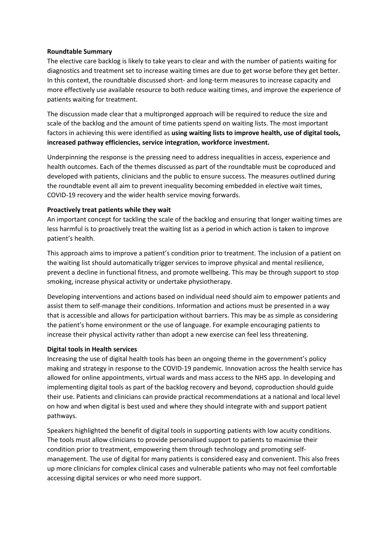## **Roundtable Summary**

The elective care backlog is likely to take years to clear and with the number of patients waiting for diagnostics and treatment set to increase waiting times are due to get worse before they get better. In this context, the roundtable discussed short- and long-term measures to increase capacity and more effectively use available resource to both reduce waiting times, and improve the experience of patients waiting for treatment.

The discussion made clear that a multipronged approach will be required to reduce the size and scale of the backlog and the amount of time patients spend on waiting lists. The most important factors in achieving this were identified as **using waiting lists to improve health, use of digital tools, increased pathway efficiencies, service integration, workforce investment.**

Underpinning the response is the pressing need to address inequalities in access, experience and health outcomes. Each of the themes discussed as part of the roundtable must be coproduced and developed with patients, clinicians and the public to ensure success. The measures outlined during the roundtable event all aim to prevent inequality becoming embedded in elective wait times, COVID-19 recovery and the wider health service moving forwards.

### **Proactively treat patients while they wait**

An important concept for tackling the scale of the backlog and ensuring that longer waiting times are less harmful is to proactively treat the waiting list as a period in which action is taken to improve patient's health.

This approach aims to improve a patient's condition prior to treatment. The inclusion of a patient on the waiting list should automatically trigger services to improve physical and mental resilience, prevent a decline in functional fitness, and promote wellbeing. This may be through support to stop smoking, increase physical activity or undertake physiotherapy.

Developing interventions and actions based on individual need should aim to empower patients and assist them to self-manage their conditions. Information and actions must be presented in a way that is accessible and allows for participation without barriers. This may be as simple as considering the patient's home environment or the use of language. For example encouraging patients to increase their physical activity rather than adopt a new exercise can feel less threatening.

#### **Digital tools in Health services**

Increasing the use of digital health tools has been an ongoing theme in the government's policy making and strategy in response to the COVID-19 pandemic. Innovation across the health service has allowed for online appointments, virtual wards and mass access to the NHS app. In developing and implementing digital tools as part of the backlog recovery and beyond, coproduction should guide their use. Patients and clinicians can provide practical recommendations at a national and local level on how and when digital is best used and where they should integrate with and support patient pathways.

Speakers highlighted the benefit of digital tools in supporting patients with low acuity conditions. The tools must allow clinicians to provide personalised support to patients to maximise their condition prior to treatment, empowering them through technology and promoting selfmanagement. The use of digital for many patients is considered easy and convenient. This also frees up more clinicians for complex clinical cases and vulnerable patients who may not feel comfortable accessing digital services or who need more support.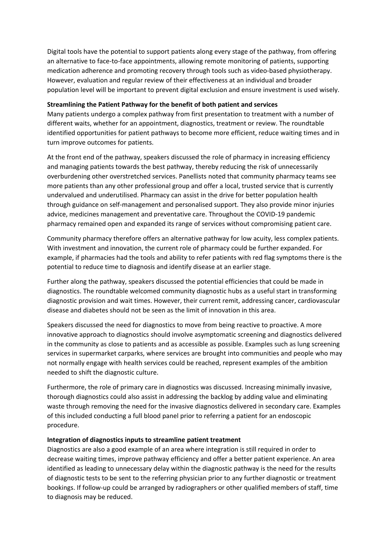Digital tools have the potential to support patients along every stage of the pathway, from offering an alternative to face-to-face appointments, allowing remote monitoring of patients, supporting medication adherence and promoting recovery through tools such as video-based physiotherapy. However, evaluation and regular review of their effectiveness at an individual and broader population level will be important to prevent digital exclusion and ensure investment is used wisely.

### **Streamlining the Patient Pathway for the benefit of both patient and services**

Many patients undergo a complex pathway from first presentation to treatment with a number of different waits, whether for an appointment, diagnostics, treatment or review. The roundtable identified opportunities for patient pathways to become more efficient, reduce waiting times and in turn improve outcomes for patients.

At the front end of the pathway, speakers discussed the role of pharmacy in increasing efficiency and managing patients towards the best pathway, thereby reducing the risk of unnecessarily overburdening other overstretched services. Panellists noted that community pharmacy teams see more patients than any other professional group and offer a local, trusted service that is currently undervalued and underutilised. Pharmacy can assist in the drive for better population health through guidance on self-management and personalised support. They also provide minor injuries advice, medicines management and preventative care. Throughout the COVID-19 pandemic pharmacy remained open and expanded its range of services without compromising patient care.

Community pharmacy therefore offers an alternative pathway for low acuity, less complex patients. With investment and innovation, the current role of pharmacy could be further expanded. For example, if pharmacies had the tools and ability to refer patients with red flag symptoms there is the potential to reduce time to diagnosis and identify disease at an earlier stage.

Further along the pathway, speakers discussed the potential efficiencies that could be made in diagnostics. The roundtable welcomed community diagnostic hubs as a useful start in transforming diagnostic provision and wait times. However, their current remit, addressing cancer, cardiovascular disease and diabetes should not be seen as the limit of innovation in this area.

Speakers discussed the need for diagnostics to move from being reactive to proactive. A more innovative approach to diagnostics should involve asymptomatic screening and diagnostics delivered in the community as close to patients and as accessible as possible. Examples such as lung screening services in supermarket carparks, where services are brought into communities and people who may not normally engage with health services could be reached, represent examples of the ambition needed to shift the diagnostic culture.

Furthermore, the role of primary care in diagnostics was discussed. Increasing minimally invasive, thorough diagnostics could also assist in addressing the backlog by adding value and eliminating waste through removing the need for the invasive diagnostics delivered in secondary care. Examples of this included conducting a full blood panel prior to referring a patient for an endoscopic procedure.

## **Integration of diagnostics inputs to streamline patient treatment**

Diagnostics are also a good example of an area where integration is still required in order to decrease waiting times, improve pathway efficiency and offer a better patient experience. An area identified as leading to unnecessary delay within the diagnostic pathway is the need for the results of diagnostic tests to be sent to the referring physician prior to any further diagnostic or treatment bookings. If follow-up could be arranged by radiographers or other qualified members of staff, time to diagnosis may be reduced.